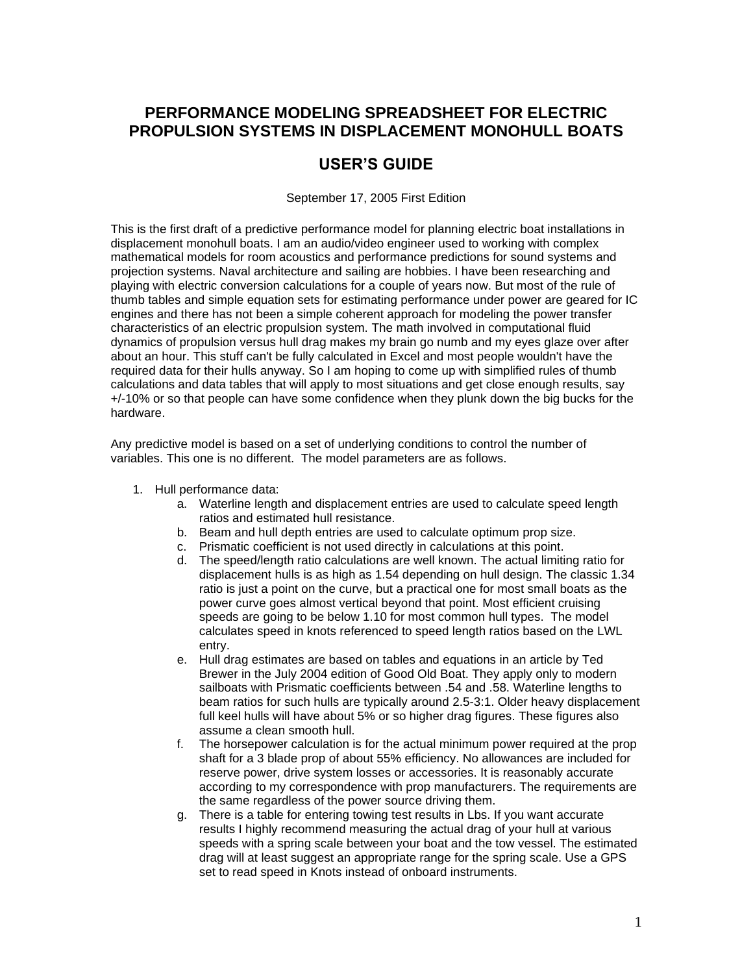# **PERFORMANCE MODELING SPREADSHEET FOR ELECTRIC PROPULSION SYSTEMS IN DISPLACEMENT MONOHULL BOATS**

# **USER'S GUIDE**

September 17, 2005 First Edition

This is the first draft of a predictive performance model for planning electric boat installations in displacement monohull boats. I am an audio/video engineer used to working with complex mathematical models for room acoustics and performance predictions for sound systems and projection systems. Naval architecture and sailing are hobbies. I have been researching and playing with electric conversion calculations for a couple of years now. But most of the rule of thumb tables and simple equation sets for estimating performance under power are geared for IC engines and there has not been a simple coherent approach for modeling the power transfer characteristics of an electric propulsion system. The math involved in computational fluid dynamics of propulsion versus hull drag makes my brain go numb and my eyes glaze over after about an hour. This stuff can't be fully calculated in Excel and most people wouldn't have the required data for their hulls anyway. So I am hoping to come up with simplified rules of thumb calculations and data tables that will apply to most situations and get close enough results, say +/-10% or so that people can have some confidence when they plunk down the big bucks for the hardware.

Any predictive model is based on a set of underlying conditions to control the number of variables. This one is no different. The model parameters are as follows.

- 1. Hull performance data:
	- a. Waterline length and displacement entries are used to calculate speed length ratios and estimated hull resistance.
	- b. Beam and hull depth entries are used to calculate optimum prop size.
	- c. Prismatic coefficient is not used directly in calculations at this point.
	- d. The speed/length ratio calculations are well known. The actual limiting ratio for displacement hulls is as high as 1.54 depending on hull design. The classic 1.34 ratio is just a point on the curve, but a practical one for most small boats as the power curve goes almost vertical beyond that point. Most efficient cruising speeds are going to be below 1.10 for most common hull types. The model calculates speed in knots referenced to speed length ratios based on the LWL entry.
	- e. Hull drag estimates are based on tables and equations in an article by Ted Brewer in the July 2004 edition of Good Old Boat. They apply only to modern sailboats with Prismatic coefficients between .54 and .58. Waterline lengths to beam ratios for such hulls are typically around 2.5-3:1. Older heavy displacement full keel hulls will have about 5% or so higher drag figures. These figures also assume a clean smooth hull.
	- f. The horsepower calculation is for the actual minimum power required at the prop shaft for a 3 blade prop of about 55% efficiency. No allowances are included for reserve power, drive system losses or accessories. It is reasonably accurate according to my correspondence with prop manufacturers. The requirements are the same regardless of the power source driving them.
	- g. There is a table for entering towing test results in Lbs. If you want accurate results I highly recommend measuring the actual drag of your hull at various speeds with a spring scale between your boat and the tow vessel. The estimated drag will at least suggest an appropriate range for the spring scale. Use a GPS set to read speed in Knots instead of onboard instruments.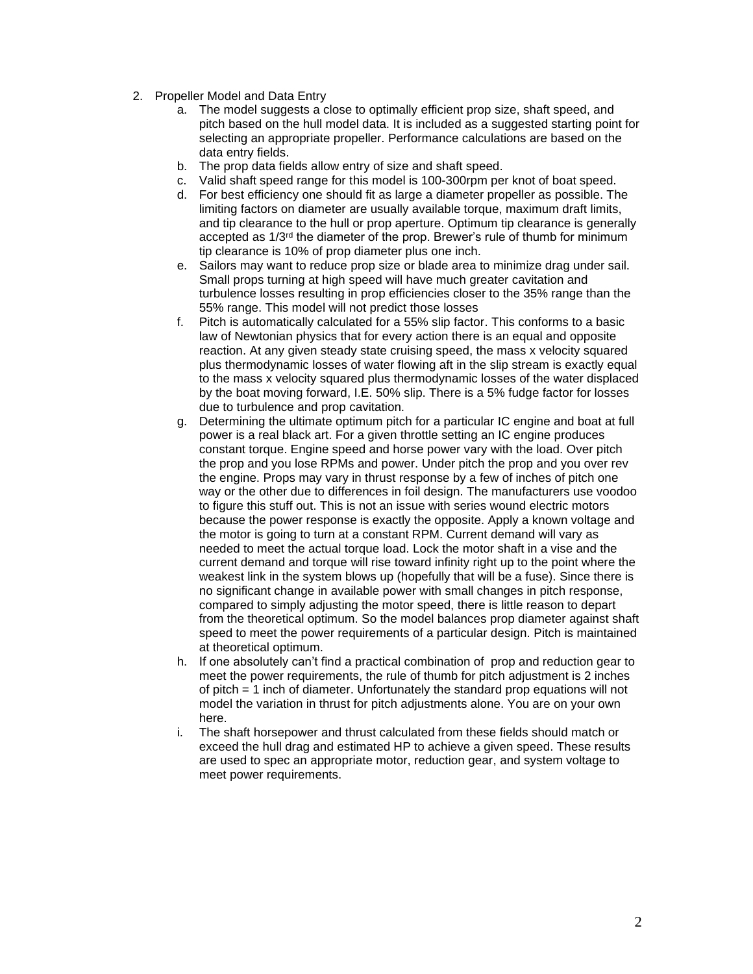- 2. Propeller Model and Data Entry
	- a. The model suggests a close to optimally efficient prop size, shaft speed, and pitch based on the hull model data. It is included as a suggested starting point for selecting an appropriate propeller. Performance calculations are based on the data entry fields.
	- b. The prop data fields allow entry of size and shaft speed.
	- c. Valid shaft speed range for this model is 100-300rpm per knot of boat speed.
	- d. For best efficiency one should fit as large a diameter propeller as possible. The limiting factors on diameter are usually available torque, maximum draft limits, and tip clearance to the hull or prop aperture. Optimum tip clearance is generally accepted as 1/3rd the diameter of the prop. Brewer's rule of thumb for minimum tip clearance is 10% of prop diameter plus one inch.
	- e. Sailors may want to reduce prop size or blade area to minimize drag under sail. Small props turning at high speed will have much greater cavitation and turbulence losses resulting in prop efficiencies closer to the 35% range than the 55% range. This model will not predict those losses
	- f. Pitch is automatically calculated for a 55% slip factor. This conforms to a basic law of Newtonian physics that for every action there is an equal and opposite reaction. At any given steady state cruising speed, the mass x velocity squared plus thermodynamic losses of water flowing aft in the slip stream is exactly equal to the mass x velocity squared plus thermodynamic losses of the water displaced by the boat moving forward, I.E. 50% slip. There is a 5% fudge factor for losses due to turbulence and prop cavitation.
	- g. Determining the ultimate optimum pitch for a particular IC engine and boat at full power is a real black art. For a given throttle setting an IC engine produces constant torque. Engine speed and horse power vary with the load. Over pitch the prop and you lose RPMs and power. Under pitch the prop and you over rev the engine. Props may vary in thrust response by a few of inches of pitch one way or the other due to differences in foil design. The manufacturers use voodoo to figure this stuff out. This is not an issue with series wound electric motors because the power response is exactly the opposite. Apply a known voltage and the motor is going to turn at a constant RPM. Current demand will vary as needed to meet the actual torque load. Lock the motor shaft in a vise and the current demand and torque will rise toward infinity right up to the point where the weakest link in the system blows up (hopefully that will be a fuse). Since there is no significant change in available power with small changes in pitch response, compared to simply adjusting the motor speed, there is little reason to depart from the theoretical optimum. So the model balances prop diameter against shaft speed to meet the power requirements of a particular design. Pitch is maintained at theoretical optimum.
	- h. If one absolutely can't find a practical combination of prop and reduction gear to meet the power requirements, the rule of thumb for pitch adjustment is 2 inches of pitch = 1 inch of diameter. Unfortunately the standard prop equations will not model the variation in thrust for pitch adjustments alone. You are on your own here.
	- i. The shaft horsepower and thrust calculated from these fields should match or exceed the hull drag and estimated HP to achieve a given speed. These results are used to spec an appropriate motor, reduction gear, and system voltage to meet power requirements.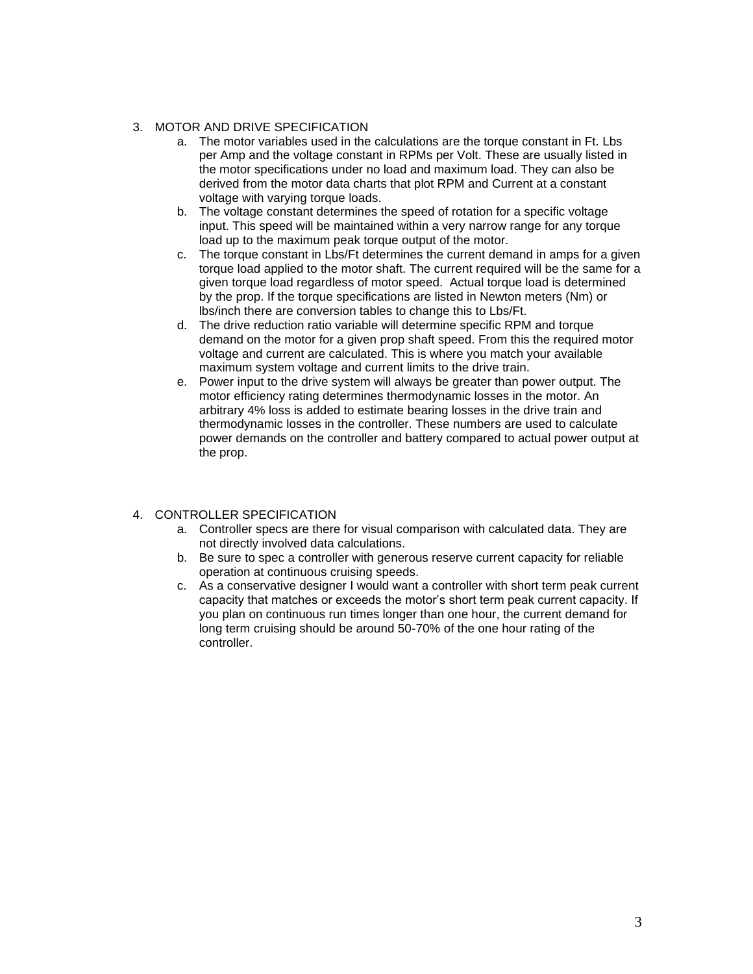### 3. MOTOR AND DRIVE SPECIFICATION

- a. The motor variables used in the calculations are the torque constant in Ft. Lbs per Amp and the voltage constant in RPMs per Volt. These are usually listed in the motor specifications under no load and maximum load. They can also be derived from the motor data charts that plot RPM and Current at a constant voltage with varying torque loads.
- b. The voltage constant determines the speed of rotation for a specific voltage input. This speed will be maintained within a very narrow range for any torque load up to the maximum peak torque output of the motor.
- c. The torque constant in Lbs/Ft determines the current demand in amps for a given torque load applied to the motor shaft. The current required will be the same for a given torque load regardless of motor speed. Actual torque load is determined by the prop. If the torque specifications are listed in Newton meters (Nm) or lbs/inch there are conversion tables to change this to Lbs/Ft.
- d. The drive reduction ratio variable will determine specific RPM and torque demand on the motor for a given prop shaft speed. From this the required motor voltage and current are calculated. This is where you match your available maximum system voltage and current limits to the drive train.
- e. Power input to the drive system will always be greater than power output. The motor efficiency rating determines thermodynamic losses in the motor. An arbitrary 4% loss is added to estimate bearing losses in the drive train and thermodynamic losses in the controller. These numbers are used to calculate power demands on the controller and battery compared to actual power output at the prop.

## 4. CONTROLLER SPECIFICATION

- a. Controller specs are there for visual comparison with calculated data. They are not directly involved data calculations.
- b. Be sure to spec a controller with generous reserve current capacity for reliable operation at continuous cruising speeds.
- c. As a conservative designer I would want a controller with short term peak current capacity that matches or exceeds the motor's short term peak current capacity. If you plan on continuous run times longer than one hour, the current demand for long term cruising should be around 50-70% of the one hour rating of the controller.